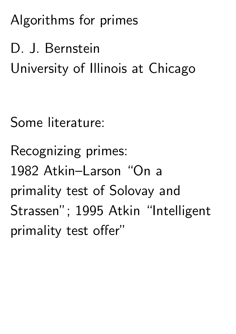Algorithms for primes

D. J. Bernstein University of Illinois at Chicago

Some literature:

Recognizing primes: 1982 Atkin–Larson "On a primality test of Solovay and Strassen"; 1995 Atkin "Intelligent primality test offer"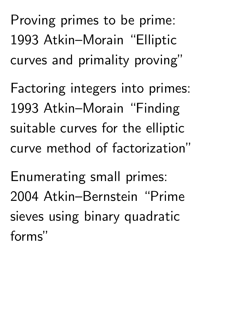Proving primes to be prime: 1993 Atkin–Morain "Elliptic curves and primality proving"

Factoring integers into primes: 1993 Atkin–Morain "Finding suitable curves for the elliptic curve method of factorization"

Enumerating small primes: 2004 Atkin–Bernstein "Prime sieves using binary quadratic forms"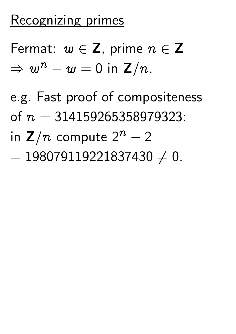## Recognizing primes

Fermat:  $w \in \mathbb{Z}$ , prime  $n \in \mathbb{Z}$  $\Rightarrow w^n - w = 0$  in  $\mathsf{Z}/n$  .

e.g. Fast proof of compositeness of  $n = 314159265358979323$ :

- in  $\mathbf{Z}/n$  compute  $2^n-2$
- $= 198079119221837430 \neq 0.$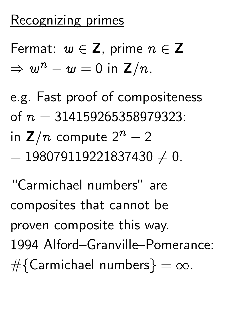## Recognizing primes

Fermat:  $w \in \mathbb{Z}$ , prime  $n \in \mathbb{Z}$  $\Rightarrow w^n - w = 0$  in  $\mathsf{Z}/n$  .

e.g. Fast proof of compositeness of  $n = 314159265358979323$ :

- in  $\mathbf{Z}/n$  compute  $2^n-2$
- $= 198079119221837430 \neq 0.$

"Carmichael numbers" are composites that cannot be proven composite this way. 1994 Alford–Granville–Pomerance:  $\#\{Carmichael numbers\} = \infty.$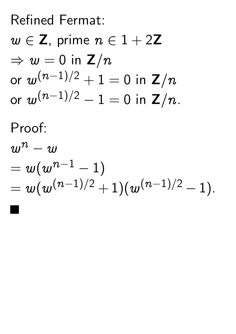# Refined Fermat:  $w \in \mathbb{Z}$ , prime  $n \in 1 + 2\mathbb{Z}$  $\Rightarrow$   $w = 0$  in  $\mathbb{Z}/n$ or  $w^{(n-1)/2}+1=0$  in  ${\mathbf Z}/n$ or  $w^{(n-1)/2}-1=0$  in  $\mathsf{Z}/n$ . Proof:  $w^n-w$

$$
=w(w^{n-1}-1)\\=w(w^{(n-1)/2}+1)(w^{(n-1)/2}-1).
$$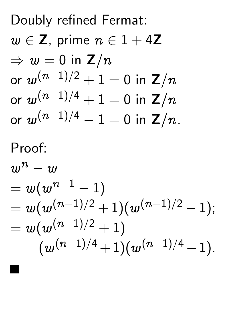Doubly refined Fermat:  $w \in \mathbb{Z}$ , prime  $n \in 1 + 4\mathbb{Z}$  $\Rightarrow w = 0$  in  $\mathbb{Z}/n$ or  $w^{(n-1)/2}+1=0$  in  ${\mathbf Z}/n$ or  $w^{(n-1)/4}+1=0$  in  $\mathsf{Z}/n$ or  $w^{(n-1)/4}-1=0$  in  $\mathsf{Z}/n$ . Proof:  $w^n-w$  $=w(w^{n-1}-1)$  $= w \dot (w^{(n-1)/2} + 1) (w^{(n-1)/2} - 1);$  $w(w^{(n-1)/2}+1)$  $(w^{(n-1)/4}+1)(w^{(n-1)/4}-1).$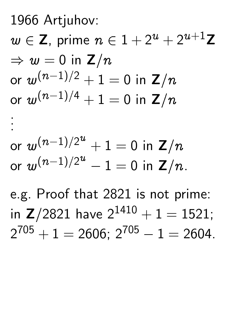1966 Artjuhov:

.

 $w\in\mathsf{Z},$  prime  $n\in 1+2^u+2^{u+1}\mathsf{Z}$  $\Rightarrow w = 0$  in  $\mathbb{Z}/n$ or  $w^{(n-1)/2}+1=0$  in  $\mathsf{Z}/n$ or  $w^{(n-1)/4}+1=0$  in  $\mathsf{Z}/n$ . .

$$
\text{or } w^{(n-1)/2^u} + 1 = 0 \text{ in } \mathbb{Z}/n
$$
  
or  $w^{(n-1)/2^u} - 1 = 0$  in  $\mathbb{Z}/n$ .

e.g. Proof that 2821 is not prime: in  $Z/2821$  have  $2^{1410} + 1 = 1521$ ;  $2^{705} + 1 = 2606$ ;  $2^{705} - 1 = 2604$ .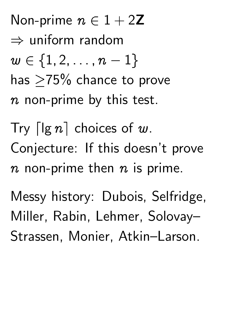Non-prime  $n \in 1 + 2Z$  $\Rightarrow$  uniform random  $w \in \{1, 2, \ldots, n - 1\}$ has  $>75\%$  chance to prove  $n$  non-prime by this test.

Try  $\lceil \lg n \rceil$  choices of w. Conjecture: If this doesn't prove  $n$  non-prime then  $n$  is prime.

Messy history: Dubois, Selfridge, Miller, Rabin, Lehmer, Solovay– Strassen, Monier, Atkin–Larson.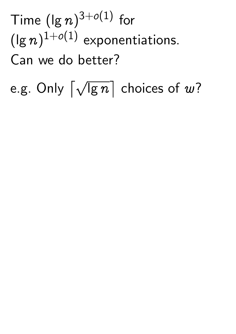Time  $(\lg n)^{3+o(1)}$  for  $(\lg n)^{1+o(1)}$  exponentiations. Can we do better?

e.g. Only  $\lceil \sqrt{\lg n} \rceil$  choices of  $w$ ?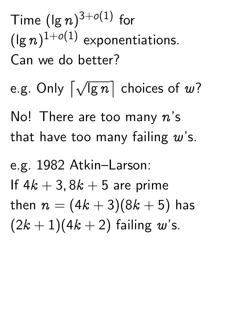Time  $(\lg n)^{3+o(1)}$  for  $(\lg n)^{1+o(1)}$  exponentiations. Can we do better? e.g. Only  $\lceil \sqrt{\lg n} \rceil$  choices of  $w$ ? No! There are too many  $n$ 's that have too many failing  $w$ 's. e.g. 1982 Atkin–Larson: If  $4k + 3$ ,  $8k + 5$  are prime then  $n = (4k + 3)(8k + 5)$  has  $(2k + 1)(4k + 2)$  failing w's.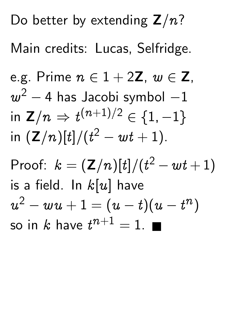Do better by extending  $Z/n$ ? Main credits: Lucas, Selfridge. e.g. Prime  $n \in 1 + 2\mathbb{Z}$ ,  $w \in \mathbb{Z}$ ,  $w^2-4$  has Jacobi symbol  $-1$ in  $\mathsf{Z}/n \Rightarrow t^{(n+1)/2} \in \{1,-1\}$ in  $({\bf Z}/n)[t]/(t^2-wt+1).$ Proof:  $k = (Z/n)[t]/(t^2 - wt + 1)$ is a field. In  $k[u]$  have  $\boldsymbol{\mathcal{U}}$  $2 -\overline{u}u +1 = (u-t)(u-t^n)$ so in  $k$  have  $t^{n+1}=1$ .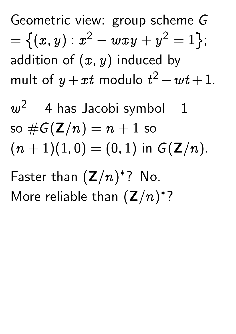Geometric view: group scheme G  $=\left\{ (x,y): x^2 - wxy + y^2 = 1 \right\};$ addition of  $(x, y)$  induced by mult of  $y+xt$  modulo  $t^2-wt+1$ .

 $w^2-4$  has Jacobi symbol  $-1$ so  $\#G(\mathbf{Z}/n) = n + 1$  so  $(n + 1)(1, 0) = (0, 1)$  in  $G(Z/n)$ .

Faster than  $(\mathbb{Z}/n)$  $\ast$ ? No. More reliable than  $(\mathbb{Z}/n)$  $\ast$ ?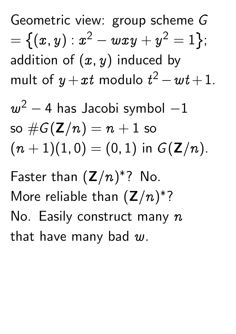Geometric view: group scheme G  $=\left\{ (x,y): x^2 - wxy + y^2 = 1 \right\};$ addition of  $(x, y)$  induced by mult of  $y+xt$  modulo  $t^2-wt+1$ .

 $w^2-4$  has Jacobi symbol  $-1$ so  $\#G(\mathbf{Z}/n) = n + 1$  so  $(n + 1)(1, 0) = (0, 1)$  in  $G(Z/n)$ .

Faster than  $(\mathbb{Z}/n)$  $\ast$ ? No. More reliable than  $(\mathbb{Z}/n)$  $\ast$ ? No. Easily construct many  $n$ that have many bad  $w$ .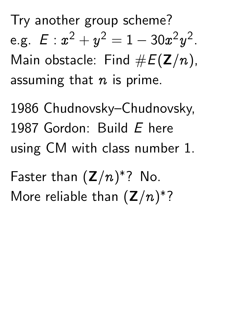Try another group scheme? e.g.  $E: x^2 + y^2 = 1 - 30x^2$  $\hat{y}$ 2 . Main obstacle: Find  $#E(Z/n)$ , assuming that  $n$  is prime.

1986 Chudnovsky–Chudnovsky, 1987 Gordon: Build E here using CM with class number 1.

Faster than  $(\mathbb{Z}/n)$  $\ast$ ? No. More reliable than  $(\mathbb{Z}/n)$  $\ast$ ?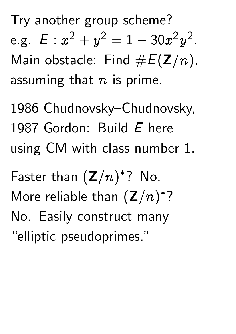Try another group scheme? e.g.  $E: x^2 + y^2 = 1 - 30x^2$  $\hat{y}$ 2 . Main obstacle: Find  $#E(Z/n)$ , assuming that  $n$  is prime.

1986 Chudnovsky–Chudnovsky, 1987 Gordon: Build E here using CM with class number 1.

Faster than  $(\mathbb{Z}/n)$  $\ast$ ? No. More reliable than  $(\mathbb{Z}/n)$  $\ast$ ? No. Easily construct many "elliptic pseudoprimes."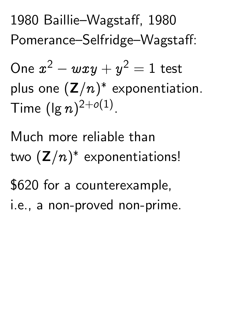1980 Baillie–Wagstaff, 1980 Pomerance–Selfridge–Wagstaff:

One  $x^2 - wxy + y^2 = 1$  test plus one  $(\mathbb{Z}/n)$  $\ast$ exponentiation. Time  $(\lg n)^{2+o(1)}$ .

Much more reliable than two  $(\mathsf{Z}/n)$  $\ast$ exponentiations! \$620 for a counterexample, i.e., a non-proved non-prime.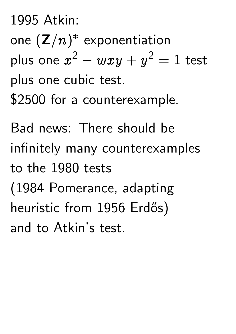1995 Atkin: one  $({\mathsf{Z}}/n)$  $\ast$ exponentiation plus one  $x^2 - wxy + y^2 = 1$  test plus one cubic test. \$2500 for a counterexample.

Bad news: There should be infinitely many counterexamples to the 1980 tests (1984 Pomerance, adapting heuristic from 1956 Erdős) and to Atkin's test.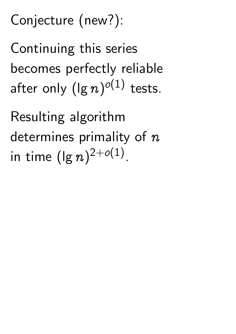## Conjecture (new?):

Continuing this series becomes perfectly reliable after only  $(\lg n)^{o(1)}$  tests.

Resulting algorithm determines primality of  $n$ in time  $(\lg n)^{2+o(1)}$ .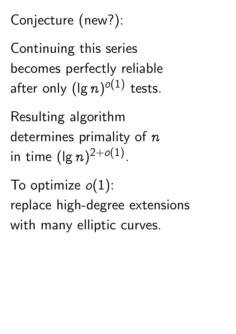Conjecture (new?):

Continuing this series becomes perfectly reliable after only  $(\lg n)^{o(1)}$  tests.

Resulting algorithm determines primality of  $n$ in time  $(\lg n)^{2+o(1)}$ .

To optimize  $o(1)$ : replace high-degree extensions with many elliptic curves.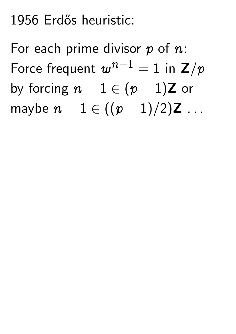## 1956 Erdős heuristic:

For each prime divisor  $p$  of  $n$ : Force frequent  $w^{n-1}=1$  in  $\mathsf{Z}/p$ by forcing  $n - 1 \in (p - 1)Z$  or maybe  $n - 1 \in ((p - 1)/2)Z ...$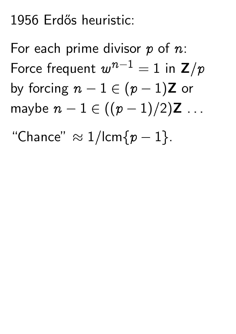## 1956 Erdős heuristic:

For each prime divisor  $p$  of  $n$ : Force frequent  $w^{n-1}=1$  in  $\mathsf{Z}/p$ by forcing  $n - 1 \in (p - 1)Z$  or maybe  $n - 1 \in ((p - 1)/2)Z$  ...

"Chance"  $\approx 1$ /lcm $\{p-1\}$ .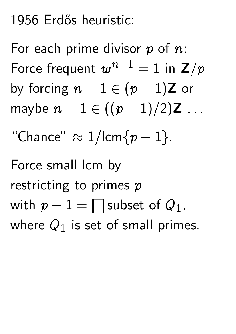## 1956 Erdős heuristic:

For each prime divisor  $p$  of  $n$ : Force frequent  $w^{n-1}=1$  in  $\mathsf{Z}/p$ by forcing  $n - 1 \in (p - 1)Z$  or maybe  $n - 1 \in ((p - 1)/2)Z$  ... "Chance"  $\approx 1$ /lcm $\{p-1\}$ . Force small lcm by restricting to primes  $p$ with  $p-1=\bigsqcup$  subset of  $Q_1$ , where  $Q_1$  is set of small primes.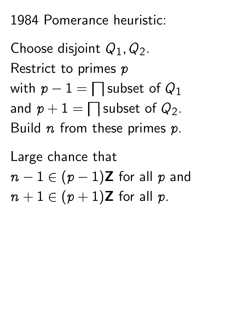1984 Pomerance heuristic:

Choose disjoint  $Q_1, Q_2$ . Restrict to primes  $p$ with  $p-1=\bigsqcup$  subset of  $Q_1$ and  $p+1=\bigsqcup$  subset of  $Q_2.$ Build  $n$  from these primes  $p$ .

Large chance that  $n - 1 \in (p - 1)$ Z for all p and  $n + 1 \in (p + 1)$ Z for all p.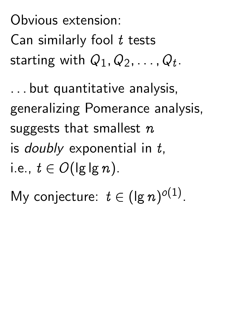Obvious extension: Can similarly fool t tests starting with  $Q_1, Q_2, \ldots, Q_t$ .

: : : but quantitative analysis, generalizing Pomerance analysis, suggests that smallest  $n$ is *doubly* exponential in  $t$ , i.e.,  $t \in O(\lg \lg n)$ .

My conjecture:  $t \in (\lg n)^{o(1)}$ .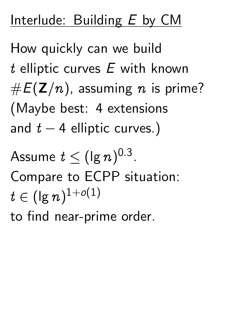## Interlude: Building E by CM

How quickly can we build t elliptic curves  $E$  with known  $#E(Z/n)$ , assuming n is prime? (Maybe best: 4 extensions and  $t - 4$  elliptic curves.)

Assume  $t\leq (\lg n)^{0.3}.$ Compare to ECPP situation:  $t\in (\lg n)^{1+o(1)}$ to find near-prime order.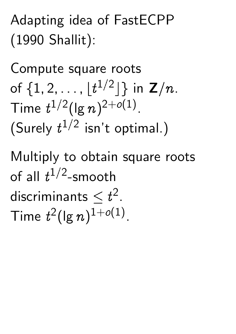## Adapting idea of FastECPP (1990 Shallit):

Compute square roots of  $\{1,2,\ldots,\lfloor t^{1/2} \rfloor\}$  in  $\mathsf{Z}/n$ . Time  $t^{1/2} (\lg n)^{2+o(1)}$ . (Surely  $t^{1/2}$  isn't optimal.)

Multiply to obtain square roots of all  $t^{1/2}$ -smooth discriminants  $\leq t^2$ . Time  $t^2(\lg n)^{1+o(1)}$ .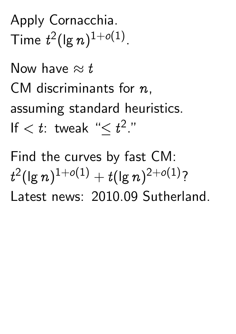Apply Cornacchia. Time  $t^2(\lg n)^{1+o(1)}$ .

Now have  $\approx t$ CM discriminants for  $n$ . assuming standard heuristics. If  $< t$ : tweak " $\leq t^2$ ."

Find the curves by fast CM: t  $^{2}(\lg n)^{1+o(1)}+t(\lg n)^{2+o(1)}$ ? Latest news: 2010.09 Sutherland.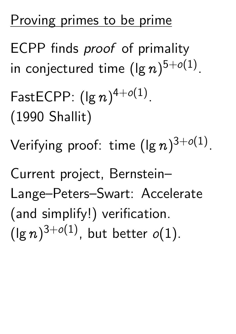## Proving primes to be prime

ECPP finds *proof* of primality in conjectured time  $(\lg n)^{5+o(1)}.$ 

- $\mathsf{FastECPP:}\;(\mathsf{lg}\,n)^{4+o(1)}.$ (1990 Shallit)
- Verifying proof: time  $(\lg n)^{3+o(1)}$ .

Current project, Bernstein– Lange–Peters–Swart: Accelerate (and simplify!) verification.  $(\lg n)^{3+o(1)}$ , but better  $o(1)$ .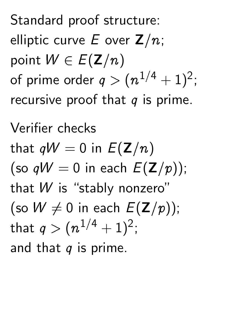Standard proof structure: elliptic curve E over  $\mathbb{Z}/n$ ; point  $W \in E(Z/n)$ of prime order  $q>(n^{1/4}+1)^2;$ recursive proof that  $q$  is prime.

Verifier checks that  $qW = 0$  in  $E(Z/n)$ (so  $qW = 0$  in each  $E(Z/p)$ ); that W is "stably nonzero" (so  $W \neq 0$  in each  $E(Z/p)$ ); that  $q > (n^{1/4}+1)^2;$ and that  $q$  is prime.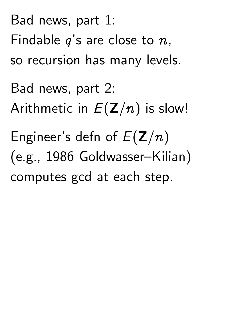Bad news, part 1: Findable  $q$ 's are close to  $n$ , so recursion has many levels. Bad news, part 2: Arithmetic in  $E(Z/n)$  is slow! Engineer's defn of  $E(Z/n)$ (e.g., 1986 Goldwasser–Kilian) computes gcd at each step.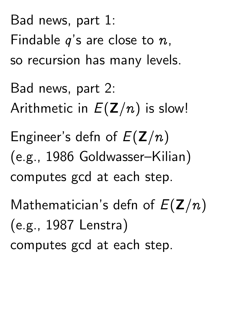Bad news, part 1: Findable  $q$ 's are close to  $n$ , so recursion has many levels. Bad news, part 2: Arithmetic in  $E(Z/n)$  is slow! Engineer's defn of  $E(Z/n)$ (e.g., 1986 Goldwasser–Kilian) computes gcd at each step. Mathematician's defn of  $E(Z/n)$ (e.g., 1987 Lenstra) computes gcd at each step.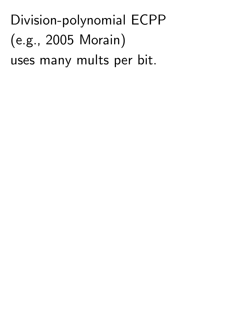Division-polynomial ECPP (e.g., 2005 Morain) uses many mults per bit.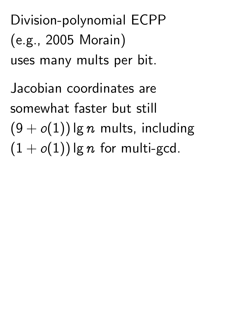Division-polynomial ECPP (e.g., 2005 Morain) uses many mults per bit.

Jacobian coordinates are somewhat faster but still  $(9 + o(1))$  lg n mults, including  $(1+o(1))$  lg n for multi-gcd.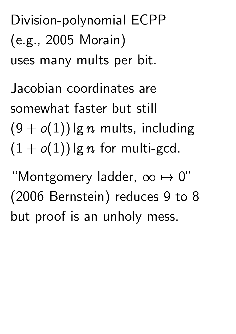Division-polynomial ECPP (e.g., 2005 Morain) uses many mults per bit.

Jacobian coordinates are somewhat faster but still  $(9+o(1))$  lg n mults, including  $(1+o(1))$  lg n for multi-gcd.

"Montgomery ladder,  $\infty \mapsto 0"$ (2006 Bernstein) reduces 9 to 8 but proof is an unholy mess.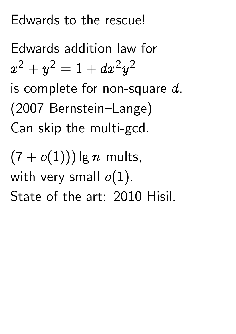## Edwards to the rescue!

Edwards addition law for  $\boldsymbol{\mathcal{X}}$  $^2+y^2=1+dx^2y$ 2 is complete for non-square  $d$ . (2007 Bernstein–Lange) Can skip the multi-gcd.

 $(7+o(1)))$  lg n mults, with very small  $o(1)$ . State of the art: 2010 Hisil.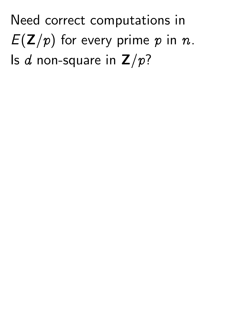Need correct computations in  $E(Z/p)$  for every prime p in n. Is d non-square in  $Z/p$ ?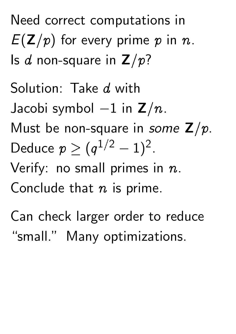Need correct computations in  $E(\mathbf{Z}/p)$  for every prime p in n. Is d non-square in  $\mathbb{Z}/p$ ?

Solution: Take d with Jacobi symbol  $-1$  in  $\mathbb{Z}/n$ . Must be non-square in some  $Z/p$ . Deduce  $p \geq (q^{1/2} - 1)^2$ . Verify: no small primes in  $n$ . Conclude that  $n$  is prime.

Can check larger order to reduce "small." Many optimizations.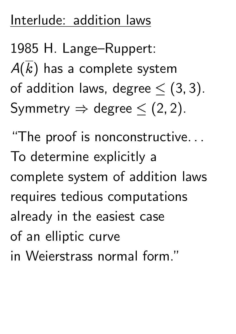## Interlude: addition laws

1985 H. Lange–Ruppert:  $A(k)$  has a complete system of addition laws, degree  $\lt$  (3, 3). Symmetry  $\Rightarrow$  degree  $\le$  (2, 2).

"The proof is nonconstructive... To determine explicitly a complete system of addition laws requires tedious computations already in the easiest case of an elliptic curve in Weierstrass normal form."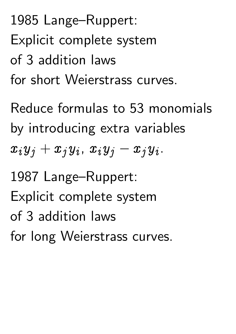1985 Lange–Ruppert: Explicit complete system of 3 addition laws for short Weierstrass curves.

Reduce formulas to 53 monomials by introducing extra variables  $x_iy_j+x_jy_i$ ,  $x_iy_j-x_jy_i$ .

1987 Lange–Ruppert: Explicit complete system of 3 addition laws for long Weierstrass curves.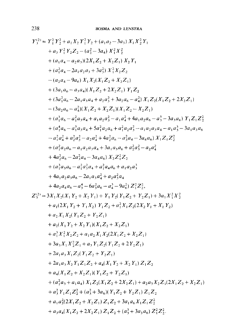$$
Y_{3}^{(2)} = Y_{1}^{2} Y_{2}^{2} + a_{1} X_{2} Y_{1}^{2} Y_{2} + (a_{1} a_{2} - 3 a_{3}) X_{1} X_{2}^{2} Y_{1}
$$
  
+  $a_{3} Y_{1}^{2} Y_{2} Z_{2} - (a_{2}^{2} - 3 a_{4}) X_{1}^{2} X_{2}^{2}$   
+  $(a_{1} a_{4} - a_{2} a_{3}) (2X_{1} Z_{2} + X_{2} Z_{1}) X_{2} Y_{1}$   
+  $(a_{1}^{2} a_{4} - 2 a_{1} a_{2} a_{3} + 3 a_{3}^{2}) X_{1}^{2} X_{2} Z_{2}$   
-  $(a_{2} a_{4} - 9 a_{6}) X_{1} X_{2} (X_{1} Z_{2} + X_{2} Z_{1}) Y_{1} Z_{2}$   
+  $(3a_{1} a_{6} - a_{3} a_{4}) (X_{1} Z_{2} + 2 X_{2} Z_{1}) Y_{1} Z_{2}$   
+  $(3a_{1} a_{6} - 2 a_{1} a_{3} a_{4} + a_{2} a_{3}^{2} + 3 a_{2} a_{6} - a_{4}^{2}) X_{1} Z_{2} (X_{1} Z_{2} + 2 X_{2} Z_{1})$   
-  $(3a_{2} a_{6} - a_{4}^{2}) (X_{1} Z_{2} + X_{2} Z_{1}) (X_{1} Z_{2} - X_{2} Z_{1})$   
+  $(a_{1}^{3} a_{6} - a_{1}^{2} a_{3} a_{4} + a_{1} a_{2} a_{3}^{2} - a_{1} a_{4}^{2} + 4 a_{1} a_{2} a_{6} - a_{3}^{3} - 3 a_{3} a_{6}) Y_{1} Z_{1} Z_{2}^{2}$   
+  $(a_{1}^{4} a_{6} - a_{1}^{3} a_{3} a_{4} + 5 a_{1}^{2} a_{2} a_{6} + a_{1}^{2} a_{2} a_{6} - a_{3}^{3} a_{4} - 3 a_{4} a_{6}) X_{1} Z_{1} Z_{2}^{2}$   
+  $(a_{1}^{2} a_{2} a_{6} - 2 a_{3}^{2} a_{4} + 3 a_{1$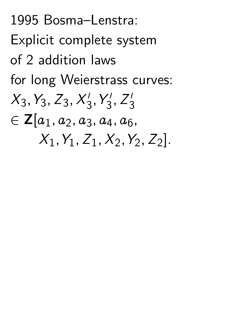1995 Bosma–Lenstra: Explicit complete system of 2 addition laws for long Weierstrass curves:  $X_3, Y_3, Z_3, X_3'$  $\mathbf{y}_3'$ 3  $Z_3'$ 3  $\in \mathsf{Z}[a_1, a_2, a_3, a_4, a_6]$  $X_1, Y_1, Z_1, X_2, Y_2, Z_2$ .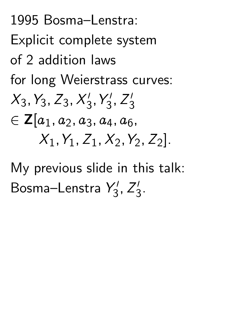1995 Bosma–Lenstra: Explicit complete system of 2 addition laws for long Weierstrass curves:  $X_3, Y_3, Z_3, X_3'$  $\mathbf{y}_3'$ 3  $Z_3'$ 3  $\in \mathsf{Z}[a_1, a_2, a_3, a_4, a_6]$  $X_1, Y_1, Z_1, X_2, Y_2, Z_2$ .

My previous slide in this talk: Bosma–Lenstra Y  $\frac{7}{3}$  $Z_3'$ 3 .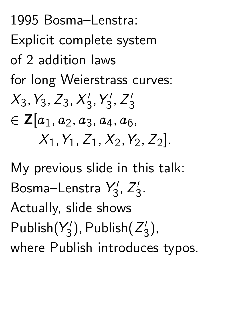1995 Bosma–Lenstra: Explicit complete system of 2 addition laws for long Weierstrass curves:  $X_3, Y_3, Z_3, X_3'$  $\mathbf{y}_3'$ 3  $Z_3'$ 3  $\in \mathsf{Z}[a_1, a_2, a_3, a_4, a_6]$  $X_1, Y_1, Z_1, X_2, Y_2, Z_2$ .

My previous slide in this talk: Bosma–Lenstra Y  $\frac{7}{3}$  $Z_3'$ 3 . Actually, slide shows Publish(Y  $\frac{1}{3}$ ); Publish(Z  $\frac{1}{3}$ ), where Publish introduces typos.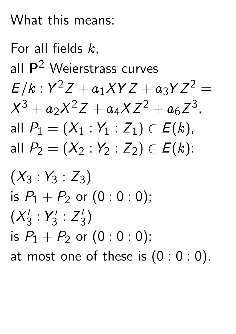### What this means:

For all fields  $k$ . all P<sup>2</sup> Weierstrass curves  $E/k : Y^2 Z + a_1 XYZ + a_3 YZ^2 =$  $X^3 + a_2 X^2 Z + a_4 X Z^2 + a_6 Z$ 3 , all  $P_1 = (X_1 : Y_1 : Z_1) \in E(k)$ , all  $P_2 = (X_2 : Y_2 : Z_2) \in E(k)$ :  $(X_3:Y_3:Z_3)$ 

is  $P_1+P_2$  or  $(0:0:0)$ ;  $(X_3^1)$ 3 : Y  $\frac{7}{3}$ : Z  $\frac{1}{3}$ ) is  $P_1+P_2$  or  $(0:0:0)$ ; at most one of these is  $(0:0:0)$ .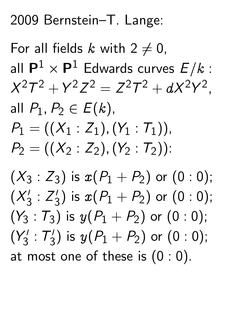2009 Bernstein–T. Lange:

For all fields k with  $2 \neq 0$ , all  $\mathsf{P}^1$  $\times$  P<sup>1</sup> Edwards curves  $E/k$  :  $X^2T$  $2 + Y^2$ Z  $2 = Z^2$  $\overline{I}$ <sup>2</sup> +  $dX^2Y$ 2 , all  $P_1, P_2 \in E(k)$ ,  $P_1 = ((X_1 : Z_1), (Y_1 : T_1)),$  $P_2 = ((X_2 : Z_2), (Y_2 : T_2))$ :

 $(X_3:Z_3)$  is  $x(P_1+P_2)$  or  $(0:0);$  $(X_3^1)$ 3 : Z  $\binom{1}{3}$  is  $x(P_1+P_2)$  or  $(0:0)$ ;  $(Y_3: \mathcal{T}_3)$  is  $y(P_1+P_2)$  or  $(0:0);$ (Y  $\frac{1}{3}$ : T  $(y_3')$  is  $y(P_1+P_2)$  or  $(0:0)$ ; at most one of these is  $(0:0)$ .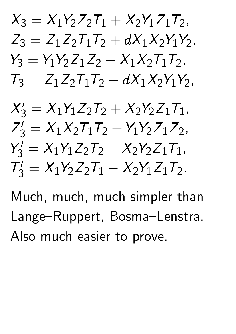

 $S_3' = X_1 Y_1 Z_2 T_2 + X_2 Y_2 Z_1 T_1$ Z  $S_3' = X_1 X_2 T_1 T_2 + Y_1 Y_2 Z_1 Z_2,$ Y  $S_3' = X_1 Y_1 Z_2 T_2 - X_2 Y_2 Z_1 T_1,$  $\overline{I}$  $S_3' = X_1 Y_2 Z_2 T_1 - X_2 Y_1 Z_1 T_2.$ 

Much, much, much simpler than Lange–Ruppert, Bosma–Lenstra. Also much easier to prove.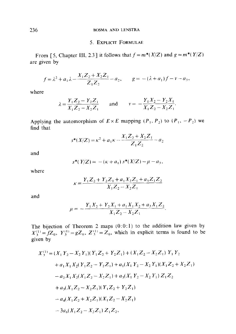#### **BOSMA AND LENSTRA**

#### 5. EXPLICIT FORMULAE

From [5, Chapter III, 2.3] it follows that  $f = m^*(X/Z)$  and  $g = m^*(Y/Z)$ are given by

$$
f = \lambda^2 + a_1 \lambda - \frac{X_1 Z_2 + X_2 Z_1}{Z_1 Z_2} - a_2, \qquad g = -(\lambda + a_1) f - v - a_3,
$$

where

$$
\lambda = \frac{Y_1 Z_2 - Y_2 Z_1}{X_1 Z_2 - X_2 Z_1} \quad \text{and} \quad v = -\frac{Y_1 X_2 - Y_2 X_1}{X_1 Z_2 - X_2 Z_1}.
$$

Applying the automorphism of  $E \times E$  mapping  $(P_1, P_2)$  to  $(P_1, -P_2)$  we find that

$$
s^*(X/Z) = \kappa^2 + a_1 \kappa - \frac{X_1 Z_2 + X_2 Z_1}{Z_1 Z_2} - a_2
$$

and

$$
s^*(Y/Z) = -(\kappa + a_1) s^*(X/Z) - \mu - a_3,
$$

where

$$
\kappa = \frac{Y_1 Z_2 + Y_2 Z_1 + a_1 X_2 Z_1 + a_3 Z_1 Z_2}{X_1 Z_2 - X_2 Z_1}
$$

and

$$
\mu = -\frac{Y_1 X_2 + Y_2 X_1 + a_1 X_1 X_2 + a_3 X_1 Z_2}{X_1 Z_2 - X_2 Z_1}.
$$

The bijection of Theorem 2 maps  $(0:0:1)$  to the addition law given by  $X_3^{(1)} = fZ_0$ ,  $Y_3^{(1)} = gZ_0$ ,  $Z_3^{(1)} = Z_0$ , which in explicit terms is found to be given by

$$
X_3^{(1)} = (X_1 Y_2 - X_2 Y_1)(Y_1 Z_2 + Y_2 Z_1) + (X_1 Z_2 - X_2 Z_1) Y_1 Y_2
$$
  
+  $a_1 X_1 X_2 (Y_1 Z_2 - Y_2 Z_1) + a_1 (X_1 Y_2 - X_2 Y_1)(X_1 Z_2 + X_2 Z_1)$   
-  $a_2 X_1 X_2 (X_1 Z_2 - X_2 Z_1) + a_3 (X_1 Y_2 - X_2 Y_1) Z_1 Z_2$   
+  $a_3 (X_1 Z_2 - X_2 Z_1)(Y_1 Z_2 + Y_2 Z_1)$   
-  $a_4 (X_1 Z_2 + X_2 Z_1)(X_1 Z_2 - X_2 Z_1)$   
-  $3a_6 (X_1 Z_2 - X_2 Z_1) Z_1 Z_2$ ,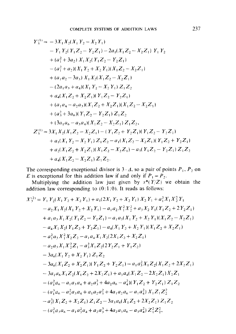$$
Y_3^{(1)} = -3X_1X_2(X_1Y_2 - X_2Y_1)
$$
  
\n
$$
-Y_1Y_2(Y_1Z_2 - Y_2Z_1) - 2a_1(X_1Z_2 - X_2Z_1)Y_1Y_2
$$
  
\n
$$
+ (a_1^2 + 3a_2) X_1X_2(Y_1Z_2 - Y_2Z_1)
$$
  
\n
$$
- (a_1^2 + a_2)(X_1Y_2 + X_2Y_1)(X_1Z_2 - X_2Z_1)
$$
  
\n
$$
+ (a_1a_2 - 3a_3) X_1X_2(X_1Z_2 - X_2Z_1)
$$
  
\n
$$
- (2a_1a_3 + a_4)(X_1Y_2 - X_2Y_1) Z_1Z_2
$$
  
\n
$$
+ a_4(X_1Z_2 + X_2Z_1)(Y_1Z_2 - Y_2Z_1)
$$
  
\n
$$
+ (a_1a_4 - a_2a_3)(X_1Z_2 + X_2Z_1)(X_1Z_2 - X_2Z_1)
$$
  
\n
$$
+ (a_3^2 + 3a_6)(Y_1Z_2 - Y_2Z_1) Z_1Z_2
$$
  
\n
$$
+ (3a_1a_6 - a_3a_4)(X_1Z_2 - X_2Z_1) Z_1Z_2,
$$
  
\n
$$
Z_3^{(1)} = 3X_1X_2(X_1Z_2 - X_2Z_1) - (Y_1Z_2 + Y_2Z_1)(Y_1Z_2 - Y_2Z_1)
$$
  
\n
$$
+ a_1(X_1Y_2 - X_2Y_1) Z_1Z_2 - a_1(X_1Z_2 - X_2Z_1)(Y_1Z_2 + Y_2Z_1)
$$
  
\n
$$
+ a_2(X_1Z_2 + X_2Z_1)(X_1Z_2 - X_2Z_1) - a_3(Y_1Z_2 - Y_2Z_1) Z_1Z_2
$$
  
\n
$$
+ a_4(X_1Z_2 - X_2Z_1) Z_1Z_2.
$$

The corresponding exceptional divisor is  $3 \cdot \Delta$ , so a pair of points  $P_1$ ,  $P_2$  on E is exceptional for this addition law if and only if  $P_1 = P_2$ .<br>Multiplying the addition law just given by  $s^*(Y/Z)$  we obtain the

addition law corresponding to  $(0:1:0)$ . It reads as follows:

$$
X_3^{(2)} = Y_1 Y_2(X_1 Y_2 + X_2 Y_1) + a_1(2X_1 Y_2 + X_2 Y_1) X_2 Y_1 + a_1^2 X_1 X_2^2 Y_1
$$
  
\n
$$
- a_2 X_1 X_2(X_1 Y_2 + X_2 Y_1) - a_1 a_2 X_1^2 X_2^2 + a_3 X_2 Y_1 (Y_1 Z_2 + 2Y_2 Z_1)
$$
  
\n
$$
+ a_1 a_3 X_1 X_2 (Y_1 Z_2 - Y_2 Z_1) - a_1 a_3 (X_1 Y_2 + X_2 Y_1) (X_1 Z_2 - X_2 Z_1)
$$
  
\n
$$
- a_4 X_1 X_2 (Y_1 Z_2 + Y_2 Z_1) - a_4 (X_1 Y_2 + X_2 Y_1) (X_1 Z_2 + X_2 Z_1)
$$
  
\n
$$
- a_1^2 a_3 X_1^2 X_2 Z_2 - a_1 a_4 X_1 X_2 (2X_1 Z_2 + X_2 Z_1)
$$
  
\n
$$
- a_2 a_3 X_1 X_2^2 Z_1 - a_3^2 X_1 Z_2 (2Y_2 Z_1 + Y_1 Z_2)
$$
  
\n
$$
- 3a_6 (X_1 Y_2 + X_2 Y_1) Z_1 Z_2
$$
  
\n
$$
- 3a_6 (X_1 Z_2 + X_2 Z_1) (Y_1 Z_2 + Y_2 Z_1) - a_1 a_3^2 X_1 Z_2 (X_1 Z_2 + 2X_2 Z_1)
$$
  
\n
$$
- 3a_1 a_6 X_1 Z_2 (X_1 Z_2 + 2X_2 Z_1) + a_3 a_4 (X_1 Z_2 - 2X_2 Z_1) X_2 Z_1
$$
  
\n
$$
- (a_1^2 a_6 - a_1 a_3 a_4 + a_2 a_3^2 + 4a_2 a_6 - a_4^2) (Y_1 Z_2 + Y_2 Z_1) Z_1 Z_2
$$
  
\n
$$
- (a_1^3 a_6 - a_1^2 a_3 a_4 + a_1 a_2 a_3^2 + 4a_1 a_2 a_6 - a_1 a_4^2) X_1 Z_1 Z_
$$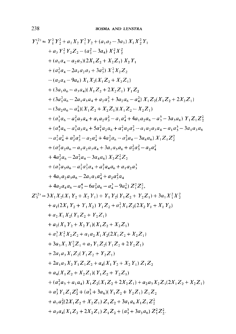$$
Y_{3}^{(2)} = Y_{1}^{2} Y_{2}^{2} + a_{1} X_{2} Y_{1}^{2} Y_{2} + (a_{1} a_{2} - 3 a_{3}) X_{1} X_{2}^{2} Y_{1}
$$
  
+  $a_{3} Y_{1}^{2} Y_{2} Z_{2} - (a_{2}^{2} - 3 a_{4}) X_{1}^{2} X_{2}^{2}$   
+  $(a_{1} a_{4} - a_{2} a_{3}) (2X_{1} Z_{2} + X_{2} Z_{1}) X_{2} Y_{1}$   
+  $(a_{1}^{2} a_{4} - 2 a_{1} a_{2} a_{3} + 3 a_{3}^{2}) X_{1}^{2} X_{2} Z_{2}$   
-  $(a_{2} a_{4} - 9 a_{6}) X_{1} X_{2} (X_{1} Z_{2} + X_{2} Z_{1}) Y_{1} Z_{2}$   
+  $(3a_{1} a_{6} - a_{3} a_{4}) (X_{1} Z_{2} + 2 X_{2} Z_{1}) Y_{1} Z_{2}$   
+  $(3a_{1} a_{6} - 2 a_{1} a_{3} a_{4} + a_{2} a_{3}^{2} + 3 a_{2} a_{6} - a_{4}^{2}) X_{1} Z_{2} (X_{1} Z_{2} + 2 X_{2} Z_{1})$   
-  $(3a_{2} a_{6} - a_{4}^{2}) (X_{1} Z_{2} + X_{2} Z_{1}) (X_{1} Z_{2} - X_{2} Z_{1})$   
+  $(a_{1}^{3} a_{6} - a_{1}^{2} a_{3} a_{4} + a_{1} a_{2} a_{3}^{2} - a_{1} a_{4}^{2} + 4 a_{1} a_{2} a_{6} - a_{3}^{3} - 3 a_{3} a_{6}) Y_{1} Z_{1} Z_{2}^{2}$   
+  $(a_{1}^{4} a_{6} - a_{1}^{3} a_{3} a_{4} + 5 a_{1}^{2} a_{2} a_{6} + a_{1}^{2} a_{2} a_{6} - a_{3}^{3} a_{4} - 3 a_{4} a_{6}) X_{1} Z_{1} Z_{2}^{2}$   
+  $(a_{1}^{2} a_{2} a_{6} - 2 a_{3}^{2} a_{4} + 3 a_{1$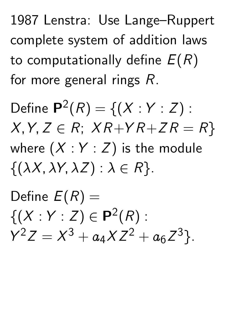1987 Lenstra: Use Lange–Ruppert complete system of addition laws to computationally define  $E(R)$ for more general rings  $R$ .

Define  $P^2(R) = \{(X : Y : Z) :$  $X,Y,Z \in R$ ;  $XR+YR+ZR = R$ where  $(X:Y:Z)$  is the module  $\{(\lambda X, \lambda Y, \lambda Z) : \lambda \in R\}.$ 

Define  $E(R) =$  $\{(X:Y:Z)\in {\bf P}^2(R):$ Y  $^2Z = X^3 + a_4 X Z^2 + a_6 Z$ 3 g.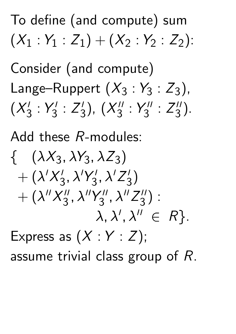To define (and compute) sum  $(X_1 : Y_1 : Z_1) + (X_2 : Y_2 : Z_2)$ :

Consider (and compute) Lange–Ruppert  $(X_3:Y_3:Z_3)$ ,  $(X_3^1)$ 3 : Y  $\frac{1}{3}$ : Z  $\frac{1}{3}$ ),  $(X_3''$ 3 : Y  $\frac{11}{3}$ : Z  $\frac{11}{3}$ ).

Add these R-modules:

$$
\{ (\lambda X_3, \lambda Y_3, \lambda Z_3) + (\lambda' X_3', \lambda' Y_3', \lambda' Z_3') + (\lambda'' X_3'', \lambda'' Y_3'', \lambda'' Z_3'') : \lambda, \lambda', \lambda'' \in R \}.
$$

Express as  $(X:Y:Z)$ ; assume trivial class group of R.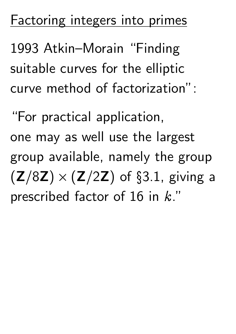## Factoring integers into primes

1993 Atkin–Morain "Finding suitable curves for the elliptic curve method of factorization":

"For practical application, one may as well use the largest group available, namely the group  $(Z/8Z)\times (Z/2Z)$  of §3.1, giving a prescribed factor of 16 in k."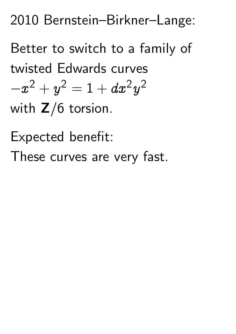2010 Bernstein–Birkner–Lange:

Better to switch to a family of twisted Edwards curves  $-\boldsymbol{x}$  $^2+y^2=1+dx^2y$ 2

with  $Z/6$  torsion.

Expected benefit:

These curves are very fast.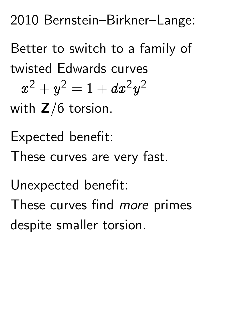2010 Bernstein–Birkner–Lange:

Better to switch to a family of twisted Edwards curves  $-\boldsymbol{x}$  $^2+y^2=1+dx^2y$ 2 with  $Z/6$  torsion.

Expected benefit:

These curves are very fast.

Unexpected benefit:

These curves find *more* primes despite smaller torsion.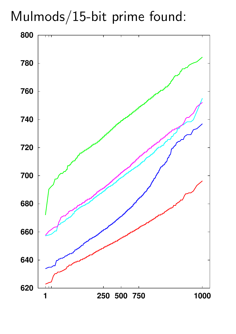Mulmods/15-bit prime found:

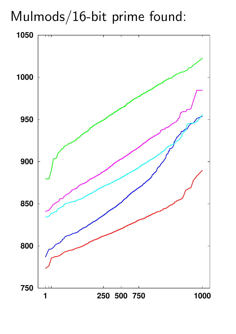Mulmods/16-bit prime found:

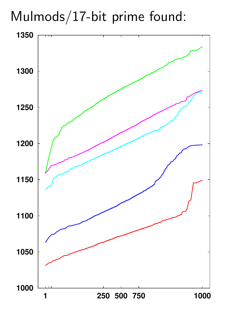Mulmods/17-bit prime found:

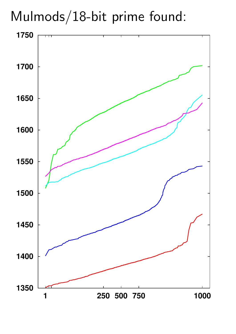## Mulmods/18-bit prime found:

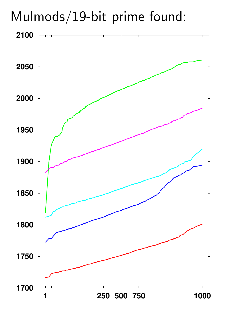## Mulmods/19-bit prime found:

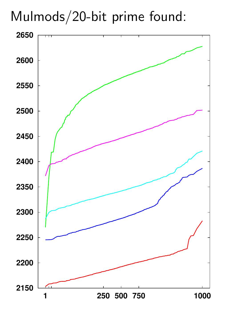## Mulmods/20-bit prime found:

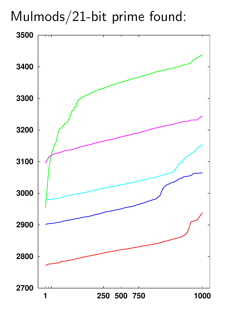Mulmods/21-bit prime found:

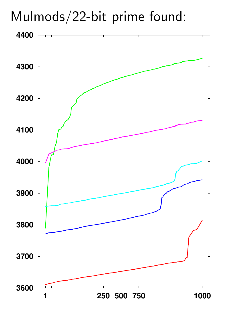## Mulmods/22-bit prime found:

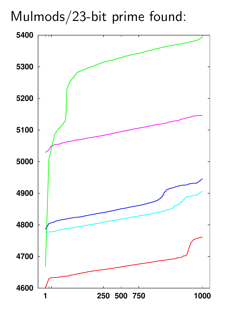Mulmods/23-bit prime found:

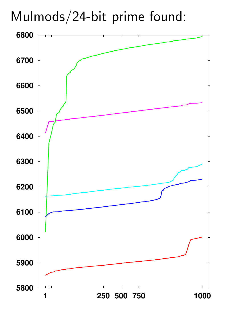Mulmods/24-bit prime found:

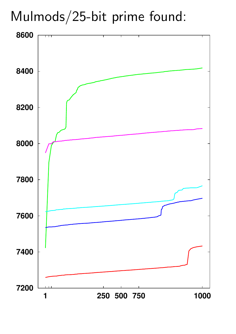## Mulmods/25-bit prime found:

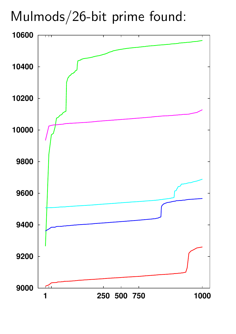Mulmods/26-bit prime found:

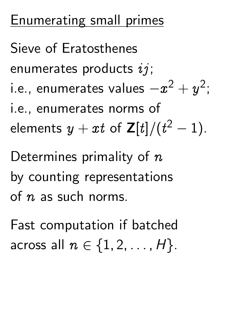## Enumerating small primes

Sieve of Eratosthenes enumerates products  $ij$ ; i.e., enumerates values  $-x^2+y^2$ ; i.e., enumerates norms of elements  $y+xt$  of  $\mathsf{Z}[t]/(t^2-1).$ Determines primality of  $n$ by counting representations of  $n$  as such norms.

Fast computation if batched across all  $n \in \{1, 2, \ldots, H\}$ .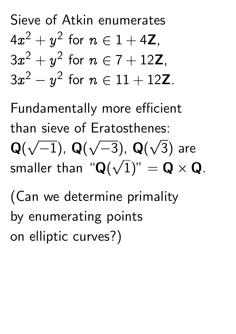Sieve of Atkin enumerates  $4x^2+y^2$  for  $n\in 1+4{\bf Z},$  $3x^2+y^2$  for  $n\in \text{7}+12\mathbf{Z}$ ,  $3x^2$  $-y$  $^2$  for  $n \in 11 + 12$ Z.

Fundamentally more efficient than sieve of Eratosthenes: Q(  $\frac{1}{\sqrt{2}}$  $(-1)$ , Q(  $\overline{\phantom{a}}$  $(-3)$ , Q(  $\frac{1}{2}$ 3) are smaller than " $\mathbf{Q}(\sqrt{1})$ "  $= \mathbf{Q} \times \mathbf{Q}$ . U<br>/

(Can we determine primality by enumerating points on elliptic curves?)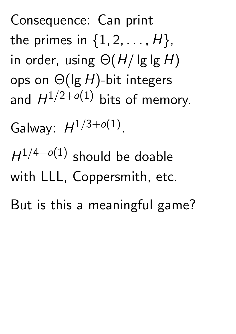Consequence: Can print the primes in  $\{1, 2, \ldots, H\}$ , in order, using  $\Theta(H/\lg\lg H)$ ops on Θ(lg H)-bit integers and  $H^{1/2+o(1)}$  bits of memory.

Galway:  $H^{1/3+o(1)}$ .

 $H^{1/4+o(1)}$  should be doable with LLL, Coppersmith, etc.

But is this a meaningful game?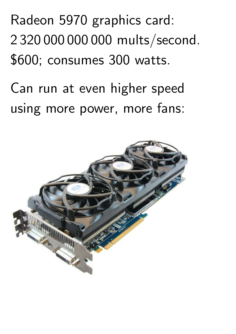## Radeon 5970 graphics card: 2 320 000 000 000 mults/second. \$600; consumes 300 watts.

Can run at even higher speed using more power, more fans: